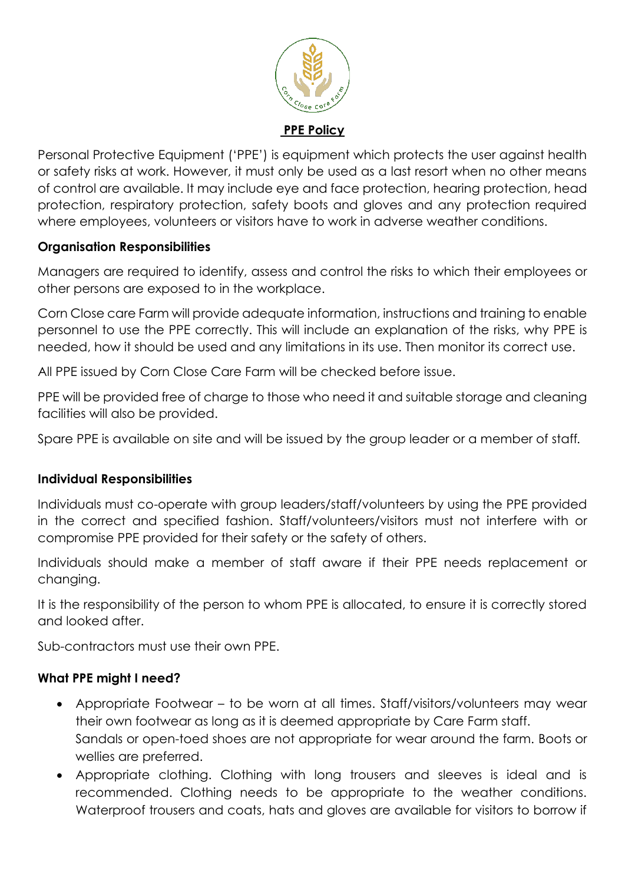

Personal Protective Equipment ('PPE') is equipment which protects the user against health or safety risks at work. However, it must only be used as a last resort when no other means of control are available. It may include eye and face protection, hearing protection, head protection, respiratory protection, safety boots and gloves and any protection required where employees, volunteers or visitors have to work in adverse weather conditions.

## **Organisation Responsibilities**

Managers are required to identify, assess and control the risks to which their employees or other persons are exposed to in the workplace.

Corn Close care Farm will provide adequate information, instructions and training to enable personnel to use the PPE correctly. This will include an explanation of the risks, why PPE is needed, how it should be used and any limitations in its use. Then monitor its correct use.

All PPE issued by Corn Close Care Farm will be checked before issue.

PPE will be provided free of charge to those who need it and suitable storage and cleaning facilities will also be provided.

Spare PPE is available on site and will be issued by the group leader or a member of staff*.*

## **Individual Responsibilities**

Individuals must co-operate with group leaders/staff/volunteers by using the PPE provided in the correct and specified fashion. Staff/volunteers/visitors must not interfere with or compromise PPE provided for their safety or the safety of others.

Individuals should make a member of staff aware if their PPE needs replacement or changing.

It is the responsibility of the person to whom PPE is allocated, to ensure it is correctly stored and looked after.

Sub-contractors must use their own PPE.

## **What PPE might I need?**

- Appropriate Footwear to be worn at all times. Staff/visitors/volunteers may wear their own footwear as long as it is deemed appropriate by Care Farm staff. Sandals or open-toed shoes are not appropriate for wear around the farm. Boots or wellies are preferred.
- Appropriate clothing. Clothing with long trousers and sleeves is ideal and is recommended. Clothing needs to be appropriate to the weather conditions. Waterproof trousers and coats, hats and gloves are available for visitors to borrow if